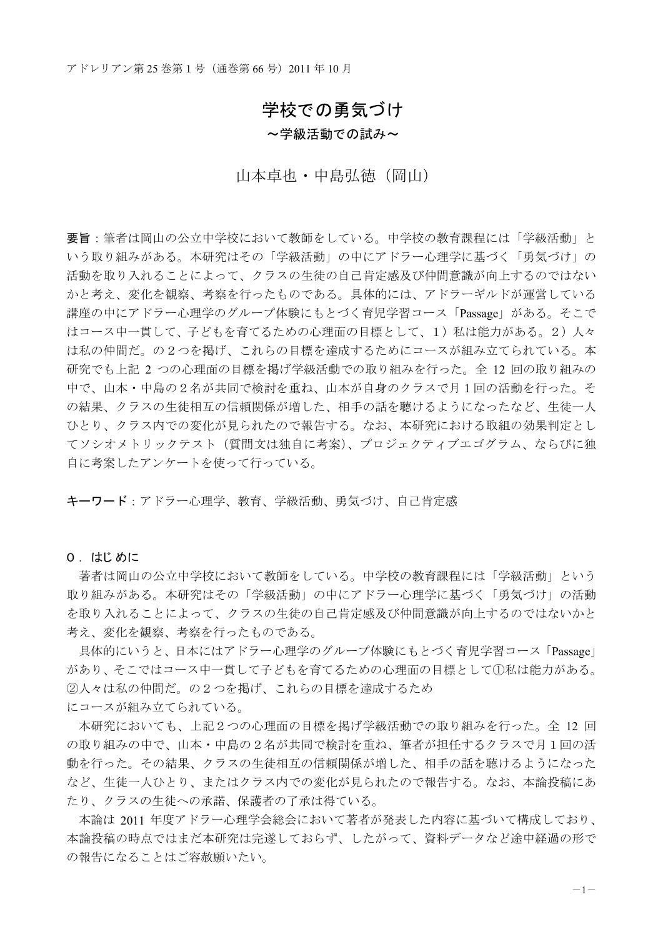# 学校での勇気づけ

#### ~学級活動での試み~

## 山本卓也 · 中島弘徳 (岡山)

要旨:筆者は岡山の公立中学校において教師をしている。中学校の教育課程には「学級活動」と いう取り組みがある。本研究はその「学級活動」の中にアドラー心理学に基づく「勇気づけ」の 活動を取り入れることによって、クラスの生徒の自己肯定感及び仲間意識が向上するのではない かと考え、変化を観察、考察を行ったものである。具体的には、アドラーギルドが運営している 講座の中にアドラー心理学のグループ体験にもとづく育児学習コース「Passage」がある。そこで はコース中一貫して、子どもを育てるための心理面の目標として、1)私は能力がある。2)人々 は私の仲間だ。の2つを掲げ、これらの目標を達成するためにコースが組み立てられている。本 研究でも上記 2 つの心理面の目標を掲げ学級活動での取り組みを行った。全 12 回の取り組みの 中で、山本・中島の2名が共同で検討を重ね、山本が自身のクラスで月1回の活動を行った。そ の結果、クラスの生徒相互の信頼関係が増した、相手の話を聴けるようになったなど、生徒一人 ひとり、クラス内での変化が見られたので報告する。なお、本研究における取組の効果判定とし てソシオメトリックテスト (質問文は独自に考案)、プロジェクティブエゴグラム、ならびに独 自に考案したアンケートを使って行っている。

キーワード:アドラー心理学、教育、学級活動、勇気づけ、自己肯定感

#### 0. はじめに

著者は岡山の公立中学校において教師をしている。中学校の教育課程には「学級活動」という 取り組みがある。本研究はその「学級活動」の中にアドラー心理学に基づく「勇気づけ」の活動 を取り入れることによって、クラスの生徒の自己肯定感及び仲間意識が向上するのではないかと 考え、変化を観察、考察を行ったものである。

具体的にいうと、日本にはアドラー心理学のグループ体験にもとづく育児学習コース「Passage」 があり、そこではコース中一貫して子どもを育てるための心理面の目標として①私は能力がある。 ②人々は私の仲間だ。の2つを掲げ、これらの目標を達成するため

にコースが組み立てられている。

本研究においても、上記2つの心理面の目標を掲げ学級活動での取り組みを行った。全 12 回 の取り組みの中で、山本·中島の2名が共同で検討を重ね、筆者が担任するクラスで月1回の活 動を行った。その結果、クラスの生徒相互の信頼関係が増した、相手の話を聴けるようになった など、生徒一人ひとり、またはクラス内での変化が見られたので報告する。なお、本論投稿にあ たり、クラスの生徒への承諾、保護者の了承は得ている。

本論は 2011 年度アドラー心理学会総会において著者が発表した内容に基づいて構成しており、 本論投稿の時点ではまだ本研究は完遂しておらず、したがって、資料データなど途中経過の形で の報告になることはご容赦願いたい。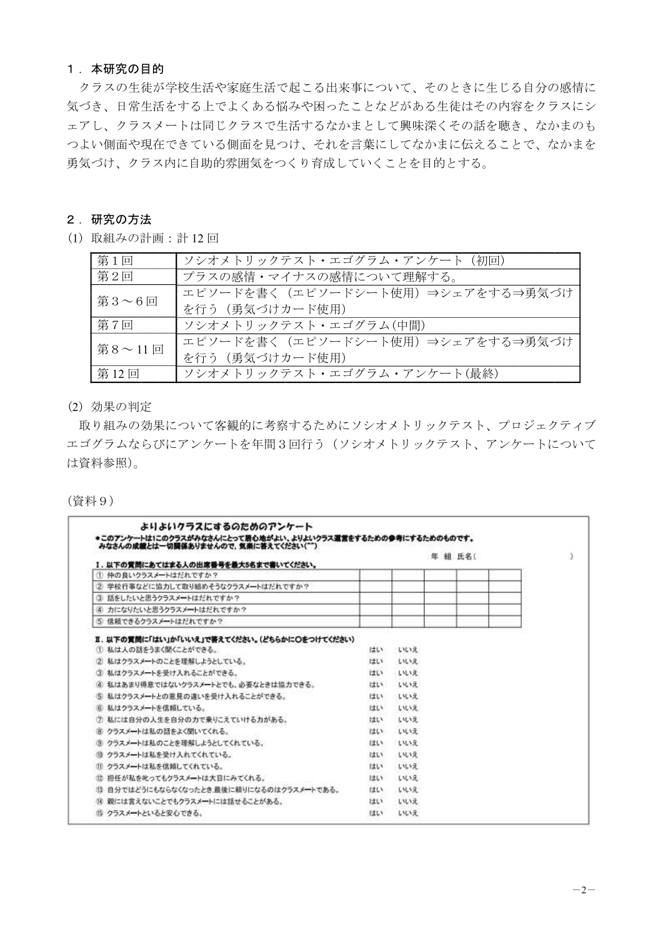## 1. 本研究の目的

クラスの生徒が学校生活や家庭生活で起こる出来事について、そのときに生じる自分の感情に 気づき、日常生活をする上でよくある悩みや困ったことなどがある生徒はその内容をクラスにシ ェアし、クラスメートは同じクラスで生活するなかまとして興味深くその話を聴き、なかまのも つよい側面や見つけ、それを言葉にしてなかまに伝えることで、なかまを 勇気づけ、クラス内に自助的雰囲気をつくり育成していくことを目的とする。

## 2. 研究の方法

(1) 取組みの計画: 計 12回

| 第1回    | ソシオメトリックテスト・エゴグラム・アンケート (初回)     |
|--------|----------------------------------|
| 第2回    | プラスの感情・マイナスの感情について理解する。          |
| 第3~6回  | エピソードを書く(エピソードシート使用)⇒シェアをする⇒勇気づけ |
|        | を行う (勇気づけカード使用)                  |
| 第7回    | ソシオメトリックテスト・エゴグラム(中間)            |
| 第8~11回 | エピソードを書く(エピソードシート使用)⇒シェアをする⇒勇気づけ |
|        | を行う (勇気づけカード使用)                  |
| 第12回   | ソシオメトリックテスト・エゴグラム・アンケート(最終)      |

(2) 効果の判定

取り組みの効果について客観的に考察するためにソシオメトリックテスト、プロジェクティブ エゴグラムならびにアンケートを年間3回行う (ソシオメトリックテスト、アンケートについて は資料参照)。

(資料9)

|                                                                     |      |       | 年 組 氏名( |  |
|---------------------------------------------------------------------|------|-------|---------|--|
| Ⅰ.以下の質問にあてはまる人の出席番号を最大5名まで書いてください。<br>① 仲の良いクラスメートはだれですか?           |      |       |         |  |
| ② 学校行事などに協力して取り組めそうなクラスメートはだれですか?                                   |      |       |         |  |
| ③ 話をしたいと思うクラスメートはだれですか?                                             |      |       |         |  |
| 4 力になりたいと思うクラスメートはだれですか?                                            |      |       |         |  |
| 5 信頼できるクラスメートはだれですか?                                                |      |       |         |  |
| Ⅱ.以下の質問に「はい」か「いいえ」で答えてください。(どちらかに○をつけてください)<br>① 私は人の話をうまく聞くことができる。 | はい   | しいえ   |         |  |
| ② 私はクラスメートのことを理解しようとしている。                                           | はい   | しいえ   |         |  |
| ③ 私はクラスメートを受け入れることができる。                                             | はい   | しいりえ  |         |  |
| ④ 私はあまり得意ではないクラスメートとでも、必要なときは協力できる。                                 | はい   | しいしょえ |         |  |
| 5 私はクラスメートとの意見の違いを受け入れることができる。                                      | はい   | しいえ   |         |  |
| ⑥ 私はクラスメートを信頼している。                                                  | はい   | しいえ   |         |  |
| 7 私には自分の人生を自分の力で乗りこえていける力がある。                                       | はい   | しいス   |         |  |
| 8 クラスメートは私の話をよく聞いてくれる。                                              | はい   | しいえ   |         |  |
| 图 クラスメートは私のことを理解しようとしてくれている。                                        | はい   | ていいえ  |         |  |
| (0) クラスメートは私を受け入れてくれている。                                            | はい   | しいえ   |         |  |
| Ⅲ クラスメートは私を信頼してくれている。                                               | はい   | しいえ   |         |  |
| ① 担任が私を叱ってもクラスメートは大目にみてくれる。                                         | はい   | しいして  |         |  |
| ① 自分ではどうにもならなくなったとき最後に頼りになるのはクラスメ━トである。                             | じましん | いいえ   |         |  |
| (4)親には言えないことでもクラスメートには話せることがある。                                     | しましい | しいえ   |         |  |
| 19 クラスメートといると安心できる。                                                 | はい   | しいえ   |         |  |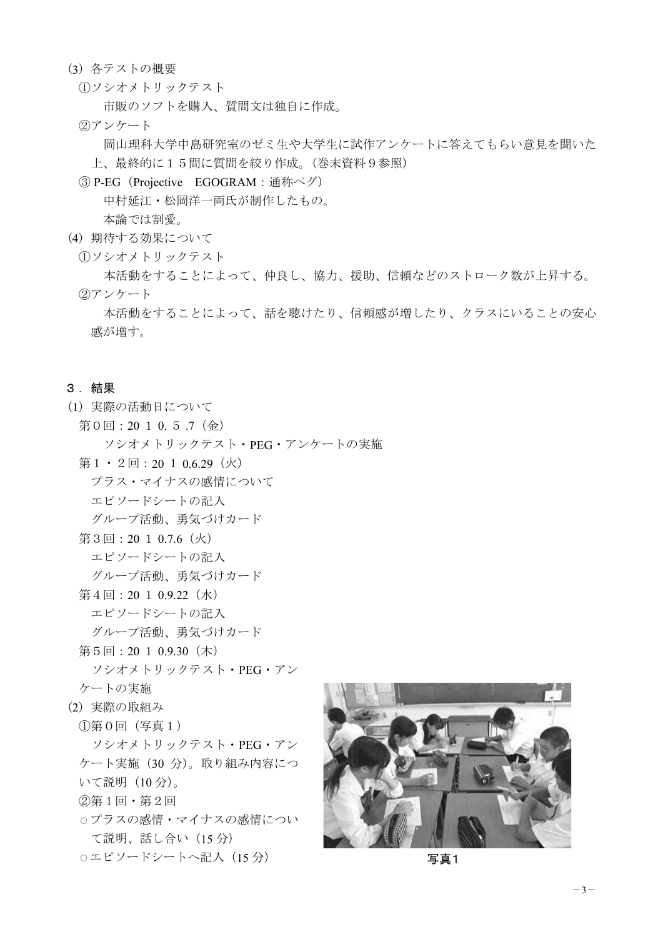- (3) 各テストの概要
	- ①ソシオメトリックテスト

市販のソフトを購入、質問文は独自に作成。

2)アンケート

岡山理科大学中島研究室のゼミ生や大学生に試作アンケートに答えてもらい意見を聞いた 上、最終的に15問に質問を絞り作成。(巻末資料9参照)

③ P-EG (Projective EGOGRAM: 通称ペグ)

中村延江·松岡洋一両氏が制作したもの。

本論では割愛。

- (4) 期待する効果について
	- **1)ソシオメトリックテスト**

本活動をすることによって、仲良し、協力、援助、信頼などのストローク数が上昇する。 ②アンケート

本活動をすることによって、話を聴けたり、信頼感が増したり、クラスにいることの安心 感が増す。

## 3. 結果

- (1) 実際の活動日について
	- 第0回: 20 1 0. 5 .7 (金) ソシオメトリックテスト·PEG·アンケートの実施
	- 第 $1 \cdot 2 \boxdot$ : 20  $1 \cdot 0.6.29$  (火)

プラス・マイナスの感情について

エピソードシートの記入

グループ活動、勇気づけカード

第3回: 20  $1$  0.7.6  $(k)$ 

エピソードシートの記入

グループ活動、勇気づけカード

- 第 $4\boxdot$ : 20  $1$  0.9.22  $(\n#)$ 
	- エピソードシートの記入

グループ活動、勇気づけカード

第5回: 20 1 0.9.30 (木)

ソシオメトリックテスト · PEG · アン ケートの実施

- (2) 実際の取組み
	- ①第0回 (写真1)

ソシオメトリックテスト · PEG · アン ケート実施 (30 分)。取り組み内容につ いて説明 (10分)。

- ②第1回·第2回
- ○プラスの感情・マイナスの感情につい て説明、話し合い (15分)
- ࢺ࣮ࢩࢻ࣮ࢯࣆ࢚グධ㸦15 ศ㸧 ┿䠍

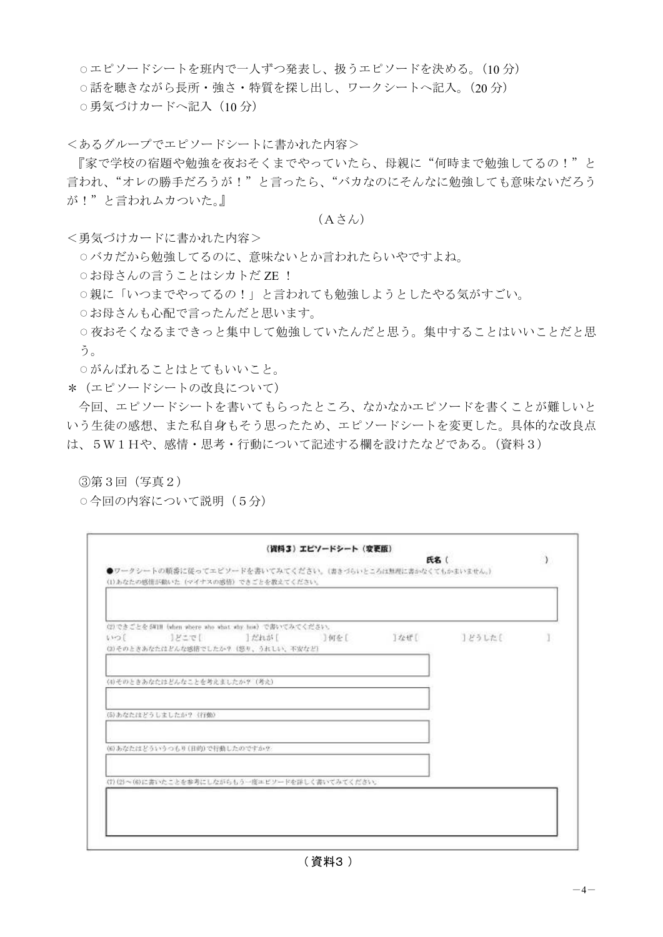○エピソードシートを班内で一人ずつ発表し、扱うエピソードを決める。(10分) ○話を聴きながら長所・強さ・特質を探し出し、ワークシートへ記入。(20分) ○勇気づけカードへ記入 (10分)

<あるグループでエピソードシートに書かれた内容>

『家で学校の宿題や勉強を夜おそくまでやっていたら、母親に"何時まで勉強してるの!"と 言われ、"オレの勝手だろうが!"と言ったら、"バカなのにそんなに勉強しても意味ないだろう が!"と言われムカついた。』

## $(A \n\geq \lambda)$

<勇気づけカードに書かれた内容>

- ○バカだから勉強してるのに、意味ないとか言われたらいやですよね。
- お母さんの言うことはシカトだ ZE!
- ○親に「いつまでやってるの!」と言われても勉強しようとしたやる気がすごい。
- ○お母さんも心配で言ったんだと思います。
- ○夜おそくなるまできっと集中して勉強していたんだと思う。集中することはいいことだと思 う。
- ○がんばれることはとてもいいこと。
- \* (エピソードシートの改良について)

今回、エピソードシートを書いてもらったところ、なかなかエピソードを書くことが難しいと いう生徒の感想、また私自身もそう思ったため、エピソードシートを変更した。具体的な改良点 は、5W1Hや、感情·思考·行動について記述する欄を設けたなどである。(資料3)

③第3回 (写真2)

○今回の内容について説明(5分)

| 1111 | (2)できごとを5W1N fwhen where who what why how) で書いてみてください。<br>- 1 どこで [<br>(2)そのときあなたはどんな感情でしたか? (怒り、うれしい、不安など) | 」だれが [ | □何を [                                            | 立ぜし | ]どうした{ |  |
|------|-------------------------------------------------------------------------------------------------------------|--------|--------------------------------------------------|-----|--------|--|
|      | (4)そのときあなたはどんなことを考えましたか? (考え)                                                                               |        |                                                  |     |        |  |
|      | (5)あなたはどうしましたか? (行動)                                                                                        |        |                                                  |     |        |  |
|      | (6)あなたはどういうつもり(日的)で行動したのですか?                                                                                |        |                                                  |     |        |  |
|      |                                                                                                             |        | (7)(2) ~(6)に書いたことを参考にしながらもう一度エピソードを詳しく書いてみてください。 |     |        |  |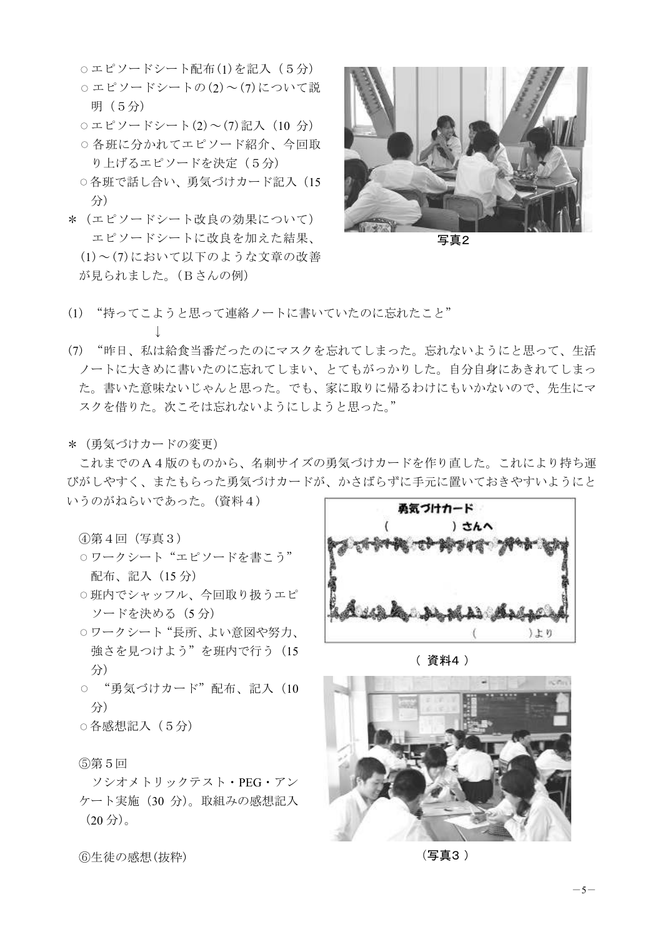○エピソードシート配布(1)を記入 (5分)  $\circ$  エピソードシートの(2)~(7)について説 明 (5分)

 $\circ$ エピソードシート(2)~(7)記入 (10 分)

○各班に分かれてエピソード紹介、今回取 り上げるエピソードを決定 (5分)

- ○各班で話し合い、勇気づけカード記入 (15 分
- \* (エピソードシート改良の効果について) エピソードシートに改良を加えた結果、  $(1)$ ~ $(7)$ において以下のような文章の改善 が見られました。 (Bさんの例)



写直2

- (1) "持ってこようと思って連絡ノートに書いていたのに忘れたこと" ↓
- (7)"昨日、私は給食当番だったのにマスクを忘れてしまった。忘れないようにと思って、生活 ノートに大きめに書いたのに忘れてしまい、とてもがっかりした。自分自身にあきれてしまっ た。書いた意味ないじゃんと思った。でも、家に取りに帰るわけにもいかないので、先生にマ スクを借りた。次こそは忘れないようにしようと思った。"
- \* (勇気づけカードの変更)

これまでのA4版のものから、名刺サイズの勇気づけカードを作り直した。これにより持ち運 びがしやすく、またもらった勇気づけカードが、かさばらずに手元に置いておきやすいようにと

いうのがねらいであった。(資料4)

④第4回(写真3)

- ワークシート "エピソードを書こう" 配布、記入 (15分)
- ○班内でシャッフル、今回取り扱うエピ ソードを決める (5分)
- ○ワークシート"長所、よい意図や努力、 強さを見つけよう"を班内で行う (15 分
- "勇気づけカード"配布、記入 (10 分
- ○各感想記入 (5分)

(5)第5回

ソシオメトリックテスト · PEG · アン ケート実施 (30 分)。取組みの感想記入  $(20 \nexists)$ 。



(資料4)



(写真3)

6生徒の感想(抜粋)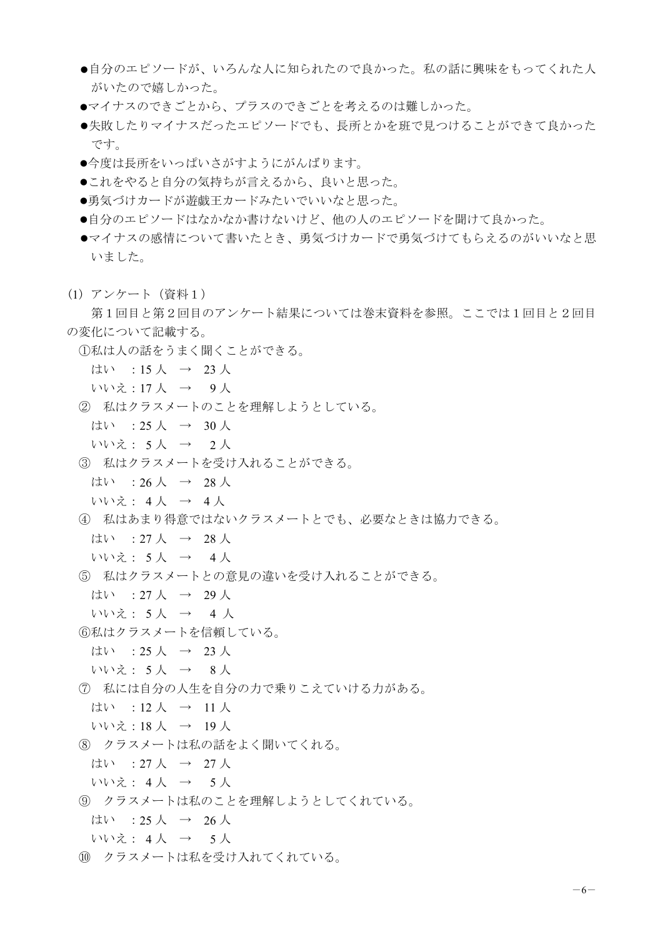- ●自分のエピソードが、いろんな人に知られたので良かった。私の話に興味をもってくれた人 がいたので嬉しかった。
- ●マイナスのできごとから、プラスのできごとを考えるのは難しかった。
- ●失敗したりマイナスだったエピソードでも、長所とかを班で見つけることができて良かった です。
- ●今度は長所をいっぱいさがすようにがんばります。
- ●これをやると自分の気持ちが言えるから、良いと思った。
- ●勇気づけカードが遊戯王カードみたいでいいなと思った。
- ●自分のエピソードはなかなか書けないけど、他の人のエピソードを聞けて良かった。
- ●マイナスの感情について書いたとき、勇気づけカードで勇気づけてもらえるのがいいなと思 いました。
- (1) アンケート (資料1)

第1回目と第2回目のアンケート結果については巻末資料を参照。ここでは1回目と2回目 の変化について記載する。

- ①私は人の話をうまく聞くことができる。
	- はい : 15 人  $\rightarrow$  23 人
	- いいえ:17人 → 9人
- ② 私はクラスメートのことを理解しようとしている。
	- はい : 25 人  $\rightarrow$  30 人
	- いいえ: 5人 → 2人
- 3 私はクラスメートを受け入れることができる。
	- はい : 26 人  $\rightarrow$  28 人
	- いいえ: 4人 → 4人
- 4 私はあまり得意ではないクラスメートとでも、必要なときは協力できる。
	- はい : 27 人  $\rightarrow$  28 人
	- いいえ: 5 人  $\rightarrow$  4 人
- 5 私はクラスメートとの意見の違いを受け入れることができる。
	- はい : 27 人  $\rightarrow$  29 人
	- いいえ: 5人 → 4人
- ⑥私はクラスメートを信頼している。
	- はい : 25 人  $\rightarrow$  23 人
	- いいえ: 5人 → 8人
- ⑦ 私には自分の人生を自分の力で乗りこえていける力がある。
- はい : 12 人 → 11 人
- いいえ:18人 → 19人
- 8 クラスメートは私の話をよく聞いてくれる。
	- はい : 27 人  $\rightarrow$  27 人
	- いいえ: 4人 → 5人
- ③ クラスメートは私のことを理解しようとしてくれている。
	- はい : 25 人  $\rightarrow$  26 人
- いいえ: 4人 → 5人
- 10 クラスメートは私を受け入れてくれている。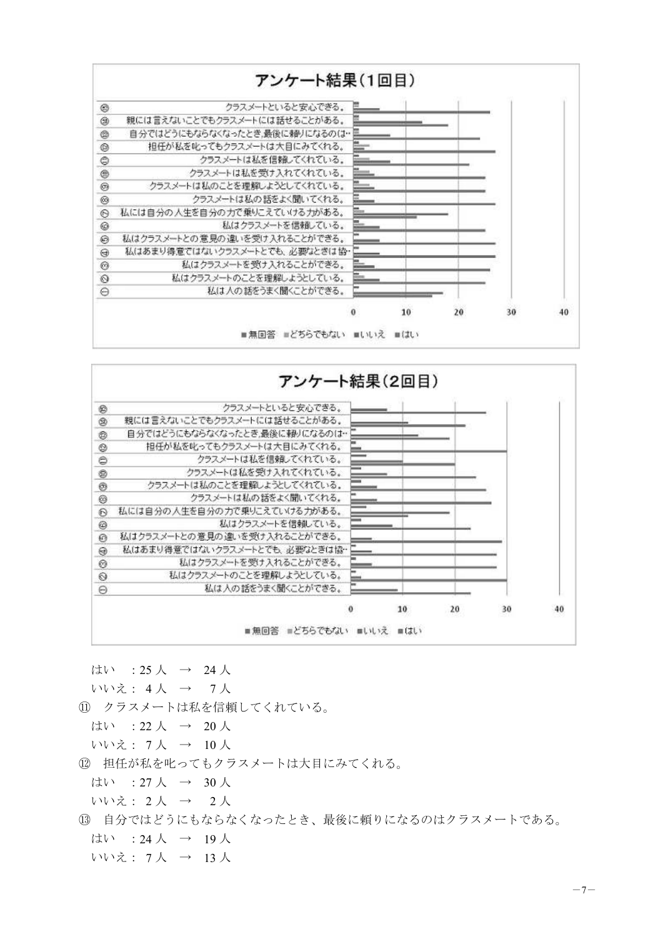



はい : 25 人  $\rightarrow$  24 人 いいえ: 4人 → 7人

11 クラスメートは私を信頼してくれている。

はい : 22 人 → 20 人

- いいえ: 7人 → 10人
- 12 担任が私を叱ってもクラスメートは大目にみてくれる。
	- はい : 27 人  $\rightarrow$  30 人
- いいえ: 2人 → 2人
- (13) 自分ではどうにもならなくなったとき、最後に頼りになるのはクラスメートである。 はい : 24 人  $\rightarrow$  19 人 いいえ: 7人 → 13人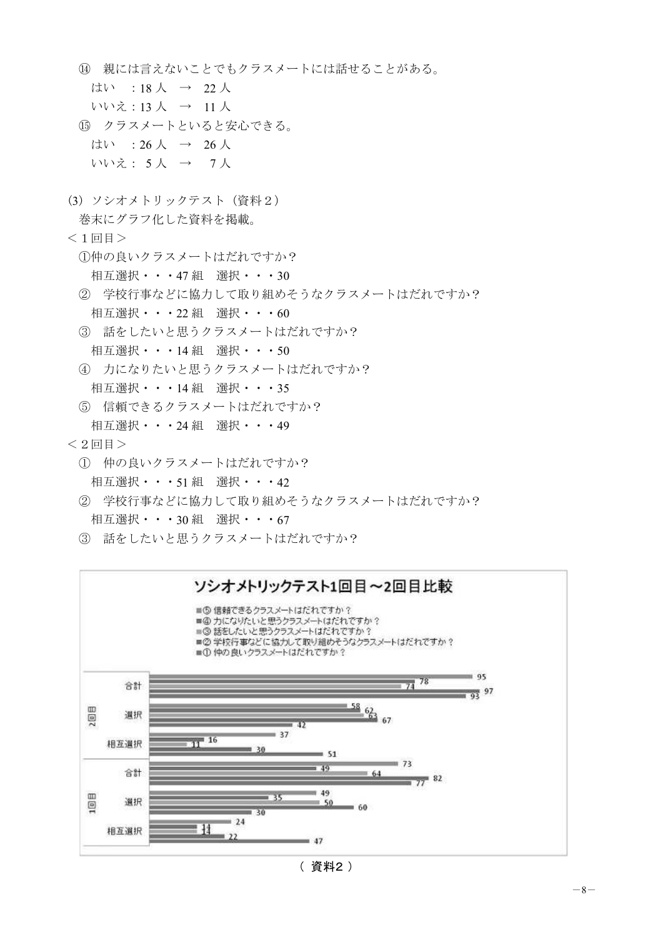- (4) 親には言えないことでもクラスメートには話せることがある。
	- はい : 18 人  $\rightarrow$  22 人
	- いいえ:13人 → 11人
- 15 クラスメートといると安心できる。 はい : 26 人  $\rightarrow$  26 人 いいえ: 5人 → 7人
- (3) ソシオメトリックテスト (資料2)
	- 巻末にグラフ化した資料を掲載。
- $<$ 1回目 $>$ 
	- 10仲の良いクラスメートはだれですか?
		- 相互選択 • 47組 選択 • 30
	- ② 学校行事などに協力して取り組めそうなクラスメートはだれですか? 相互選択 • • • 22 組 選択 • • • 60
	- 3 話をしたいと思うクラスメートはだれですか? 相互選択 • • • 14組 選択 • • • 50
	- 4 力になりたいと思うクラスメートはだれですか?
	- 相互選択 • 14組 選択 • 35
	- 5 信頼できるクラスメートはだれですか?
	- 相互選択・・・24 組 選択・・・49
- $<$  2 回目  $>$ 
	- ① 仲の良いクラスメートはだれですか? 相互選択 • • • 51 組 選択 • • • 42
	- ② 学校行事などに協力して取り組めそうなクラスメートはだれですか? 相互選択 • • • 30組 選択 • • • 67
	- 3 話をしたいと思うクラスメートはだれですか?

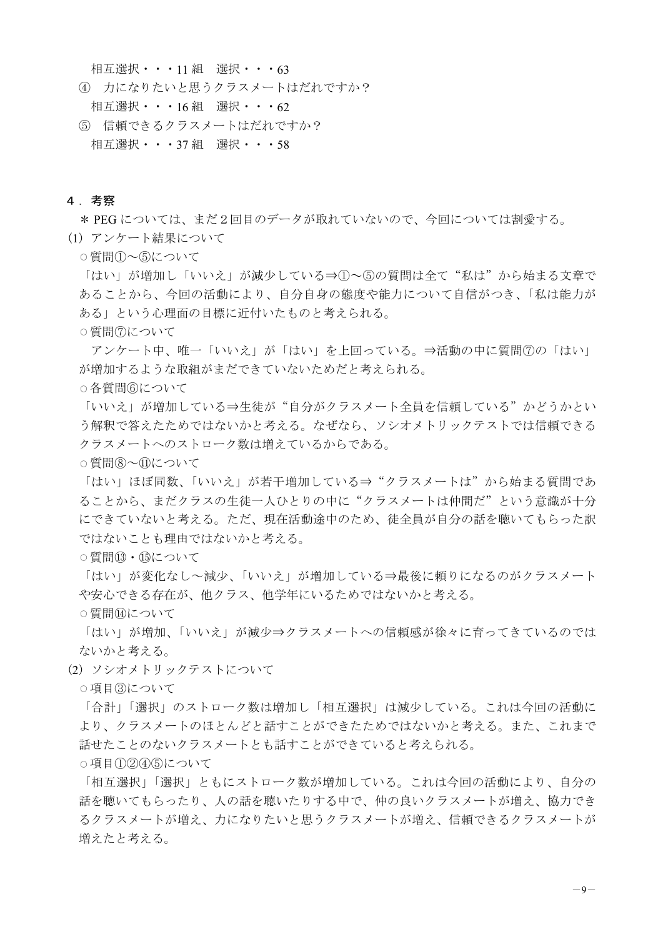相互選択 • • • 11 組 選択 • • • 63

- 4 力になりたいと思うクラスメートはだれですか? 相互選択 • • • 16組 選択 • • • 62
- 5 信頼できるクラスメートはだれですか? 相互選択 • • • 37組 選択 • • • 58

#### 4. 考察

\* PEG については、まだ2回目のデータが取れていないので、今回については割愛する。

(1) アンケート結果について

○質問①~⑤について

「はい」が増加し「いいえ」が減少している⇒①~⑤の質問は全て"私は"から始まる文章で あることから、今回の活動により、自分自身の態度や能力について自信がつき、「私は能力が ある」という心理面の目標に近付いたものと考えられる。

○質問⑦について

アンケート中、唯一「いいえ」が「はい」を上回っている。⇒活動の中に質問⑦の「はい」 が増加するような取組がまだできていないためだと考えられる。

○各質問⑥について

「いいえ」が増加している⇒生徒が"自分がクラスメート全員を信頼している"かどうかとい う解釈で答えためではないかと考える。なぜなら、ソシオメトリックテストでは信頼できる クラスメートへのストローク数は増えているからである。

○ 質問(8)~11)について

「はい」ほぼ同数、「いいえ」が若干増加している⇒"クラスメートは"から始まる質問であ ることから、まだクラスの生徒一人ひとりの中に"クラスメートは仲間だ"という意識が十分 にできていないと考える。ただ、現在活動途中のため、徒全員が自分の話を聴いてもらった訳 ではないかと考える。

○ 質問(B) · 的について

「はい」が変化なし~減少、「いいえ」が増加している⇒最後に頼りになるのがクラスメート や安心できる存在が、他クラス、他学年にいるためではないかと考える。

○質問⑭について

「はい」が増加え」が減少⇒クラスメートへの信頼感が徐々に育ってきているのでは ないかと考える。

(2) ソシオメトリックテストについて

○項目3について

「合計」「選択」のストローク数は増加し「相互選択」は減少している。これは今回の活動に より、クラスメートのほとんどと話すことができたためではないかと考える。また、これまで 話せたことのないクラスメートとも話すことができていると考えられる。

 $\circ$ 項目①22425について

「相互選択」「選択」ともにストローク数が増加している。これは今回の活動により、自分の 話を聴いたりする中で、仲の良いクラスメートが増え、協力でき るクラスメートが増え、力になりたいと思うクラスメートが増え、信頼できるクラスメートが 増えたと考える。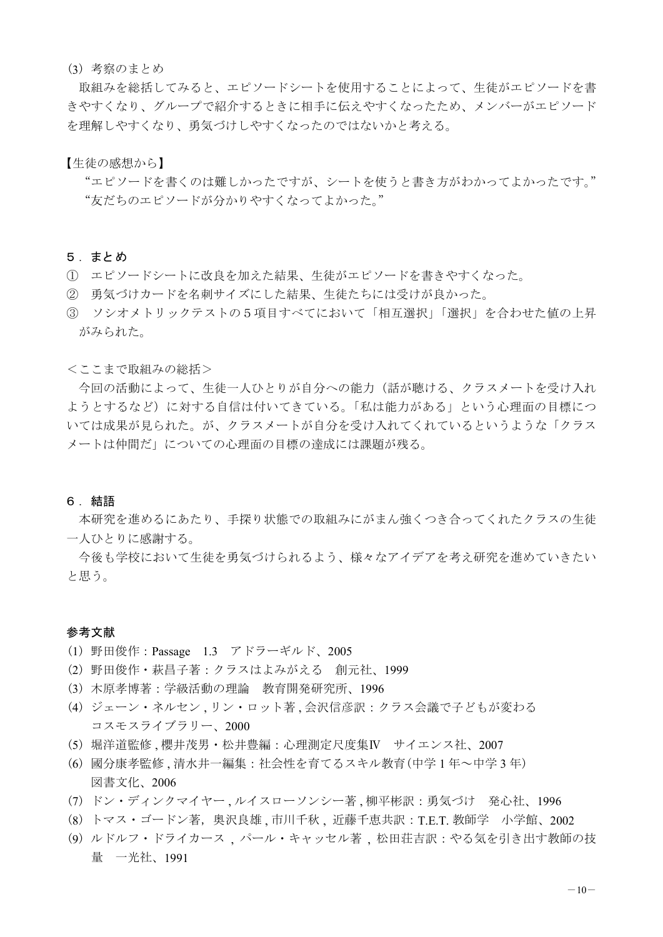#### (3) 考察のまとめ

取組みを総括してみると、エピソードシートを使用することによって、生徒がエピソードを書 きやすくなり、グループで紹介するときに相手に伝えやすくなったため、メンバーがエピソード を理解しやすくなったのではないかと考える。

【生徒の感想から】

"エピソードを書くのは難しかったですが、シートを使うと書き方がわかってよかったです。" "友だちのエピソードが分かりやすくなってよかった。"

#### 5. まとめ

- ① エピソードシートに改良を加えた結果、生徒がエピソードを書きやすくなった。
- ② 勇気づけカードを名刺サイズにした結果、生徒たちには受けが良かった。
- 3 ソシオメトリックテストの5項目すべてにおいて「相互選択」「選択」を合わせた値の上昇 がみられた。

#### <ここまで取組みの総括>

今回の活動によって、生徒一人ひとりが自分への能力(話が聴ける、クラスメートを受け入れ ようとするなど)に対する自信は付いてきている。「私は能力がある」という心理面の目標につ いては成果が見られた。が、クラスメートが自分を受け入れてくれているというような「クラス メートは仲間だ」についての心理面の目標の達成には課題が残る。

#### 6. 結語

本研究を進めるにあたり、手探り状態での取組みにがまん強くつき合ってくれたクラスの生徒 一人ひとりに感謝する。

今後も学校において生徒を勇気づけられるよう、様々なアイデアを考え研究を進めていきたい と思う。

#### 参考文献

- (1) 野田俊作: Passage 1.3 アドラーギルド、2005
- (2) 野田俊作・萩昌子著:クラスはよみがえる 創元社、1999
- (3) 木原孝博著:学級活動の理論 教育開発研究所、1996
- (4) ジェーン・ネルセン、リン・ロット著、会沢信彦訳:クラス会議で子どもが変わる コスモスライブラリー、2000
- (5) 堀洋道監修 . 櫻井茂男·松井豊編 : 心理測定尺度集IV サイエンス社、2007
- (6) 國分康孝監修、清水井一編集:社会性を育てるスキル教育(中学1年~中学3年) 図書文化、2006
- (7) ドン・ディンクマイヤー、ルイスローソンシー著、柳平彬訳:勇気づけ 発心社、1996
- (8)トマス・ゴードン著,奥沢良雄 , 市川千秋 , 近藤千恵共訳 : T.E.T. 教師学 小学館、2002
- (9) ルドルフ・ドライカース 、パール・キャッセル著 、松田荘吉訳: やる気を引き出す教師の技 量 一光社、1991